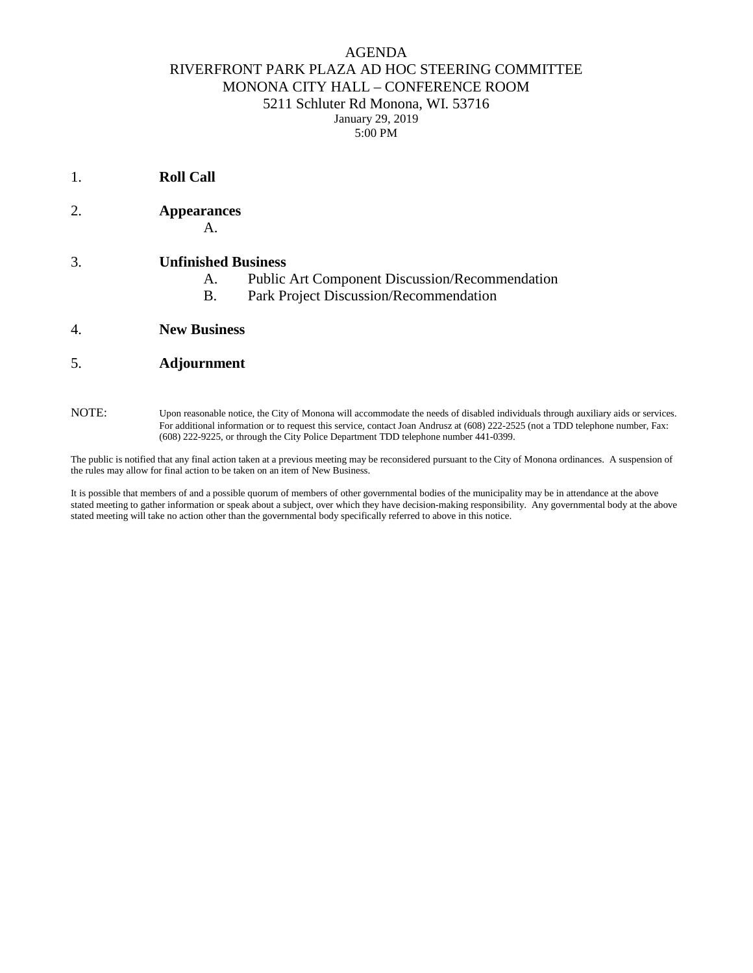## AGENDA RIVERFRONT PARK PLAZA AD HOC STEERING COMMITTEE MONONA CITY HALL – CONFERENCE ROOM 5211 Schluter Rd Monona, WI. 53716 January 29, 2019 5:00 PM

2. **Appearances** A. 3. **Unfinished Business** A. Public Art Component Discussion/Recommendation B. Park Project Discussion/Recommendation 4. **New Business** 5. **Adjournment**

1. **Roll Call** 

NOTE: Upon reasonable notice, the City of Monona will accommodate the needs of disabled individuals through auxiliary aids or services. For additional information or to request this service, contact Joan Andrusz at (608) 222-2525 (not a TDD telephone number, Fax: (608) 222-9225, or through the City Police Department TDD telephone number 441-0399.

The public is notified that any final action taken at a previous meeting may be reconsidered pursuant to the City of Monona ordinances. A suspension of the rules may allow for final action to be taken on an item of New Business.

It is possible that members of and a possible quorum of members of other governmental bodies of the municipality may be in attendance at the above stated meeting to gather information or speak about a subject, over which they have decision-making responsibility. Any governmental body at the above stated meeting will take no action other than the governmental body specifically referred to above in this notice.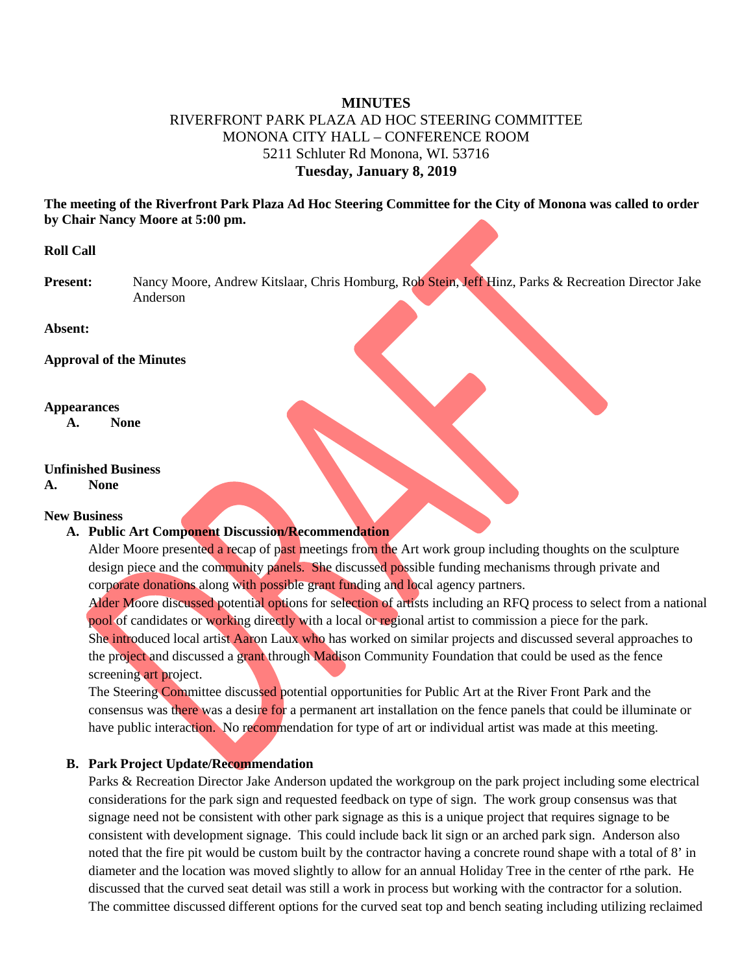# **MINUTES** RIVERFRONT PARK PLAZA AD HOC STEERING COMMITTEE MONONA CITY HALL – CONFERENCE ROOM 5211 Schluter Rd Monona, WI. 53716 **Tuesday, January 8, 2019**

**The meeting of the Riverfront Park Plaza Ad Hoc Steering Committee for the City of Monona was called to order by Chair Nancy Moore at 5:00 pm.**

### **Roll Call**

**Present:** Nancy Moore, Andrew Kitslaar, Chris Homburg, Rob Stein, Jeff Hinz, Parks & Recreation Director Jake Anderson

**Absent:**

**Approval of the Minutes** 

#### **Appearances**

**A. None**

#### **Unfinished Business**

# **A. None**

# **New Business**

### **A. Public Art Component Discussion/Recommendation**

Alder Moore presented a recap of past meetings from the Art work group including thoughts on the sculpture design piece and the community panels. She discussed possible funding mechanisms through private and corporate donations along with possible grant funding and local agency partners.

Alder Moore discussed potential options for selection of artists including an RFQ process to select from a national pool of candidates or working directly with a local or regional artist to commission a piece for the park. She introduced local artist Aaron Laux who has worked on similar projects and discussed several approaches to the project and discussed a grant through Madison Community Foundation that could be used as the fence screening art project.

The Steering Committee discussed potential opportunities for Public Art at the River Front Park and the consensus was there was a desire for a permanent art installation on the fence panels that could be illuminate or have public interaction. No recommendation for type of art or individual artist was made at this meeting.

### **B. Park Project Update/Recommendation**

Parks & Recreation Director Jake Anderson updated the workgroup on the park project including some electrical considerations for the park sign and requested feedback on type of sign. The work group consensus was that signage need not be consistent with other park signage as this is a unique project that requires signage to be consistent with development signage. This could include back lit sign or an arched park sign. Anderson also noted that the fire pit would be custom built by the contractor having a concrete round shape with a total of 8' in diameter and the location was moved slightly to allow for an annual Holiday Tree in the center of rthe park. He discussed that the curved seat detail was still a work in process but working with the contractor for a solution. The committee discussed different options for the curved seat top and bench seating including utilizing reclaimed